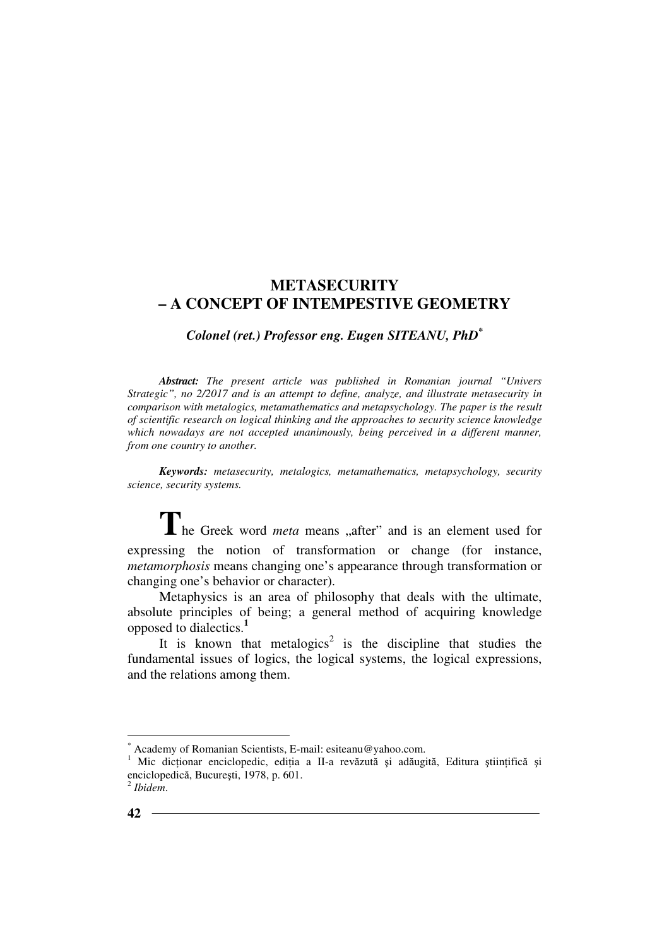## *Colonel (ret.) Professor eng. Eugen SITEANU, PhD\**

*Abstract: The present article was published in Romanian journal "Univers Strategic", no 2/2017 and is an attempt to define, analyze, and illustrate metasecurity in comparison with metalogics, metamathematics and metapsychology. The paper is the result of scientific research on logical thinking and the approaches to security science knowledge which nowadays are not accepted unanimously, being perceived in a different manner, from one country to another.* 

*Keywords: metasecurity, metalogics, metamathematics, metapsychology, security science, security systems.*

The Greek word *meta* means "after" and is an element used for expressing the notion of transformation or change (for instance, *metamorphosis* means changing one's appearance through transformation or changing one's behavior or character).

Metaphysics is an area of philosophy that deals with the ultimate, absolute principles of being; a general method of acquiring knowledge opposed to dialectics.**<sup>1</sup>**

It is known that metalogics<sup>2</sup> is the discipline that studies the fundamental issues of logics, the logical systems, the logical expressions, and the relations among them.

<sup>\*</sup> Academy of Romanian Scientists, E-mail: esiteanu@yahoo.com.

<sup>1</sup> Mic dicționar enciclopedic, ediția a II-a revăzută și adăugită, Editura științifică și enciclopedică, Bucureşti, 1978, p. 601.

<sup>2</sup> *Ibidem*.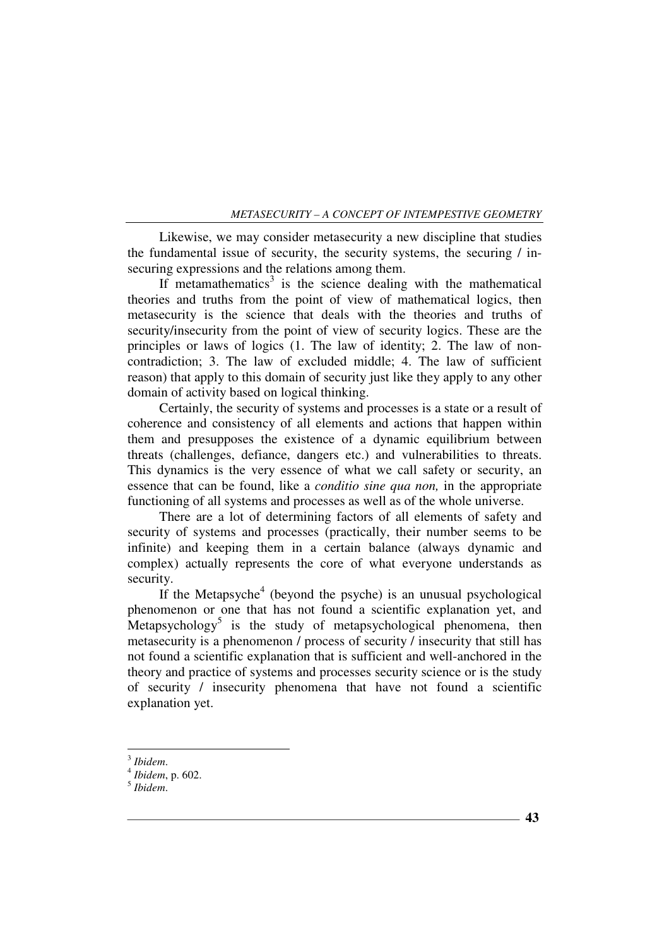Likewise, we may consider metasecurity a new discipline that studies the fundamental issue of security, the security systems, the securing / insecuring expressions and the relations among them.

If metamathematics<sup>3</sup> is the science dealing with the mathematical theories and truths from the point of view of mathematical logics, then metasecurity is the science that deals with the theories and truths of security/insecurity from the point of view of security logics. These are the principles or laws of logics (1. The law of identity; 2. The law of noncontradiction; 3. The law of excluded middle; 4. The law of sufficient reason) that apply to this domain of security just like they apply to any other domain of activity based on logical thinking.

Certainly, the security of systems and processes is a state or a result of coherence and consistency of all elements and actions that happen within them and presupposes the existence of a dynamic equilibrium between threats (challenges, defiance, dangers etc.) and vulnerabilities to threats. This dynamics is the very essence of what we call safety or security, an essence that can be found, like a *conditio sine qua non,* in the appropriate functioning of all systems and processes as well as of the whole universe.

There are a lot of determining factors of all elements of safety and security of systems and processes (practically, their number seems to be infinite) and keeping them in a certain balance (always dynamic and complex) actually represents the core of what everyone understands as security.

If the Metapsyche<sup>4</sup> (beyond the psyche) is an unusual psychological phenomenon or one that has not found a scientific explanation yet, and Metapsychology<sup>5</sup> is the study of metapsychological phenomena, then metasecurity is a phenomenon / process of security / insecurity that still has not found a scientific explanation that is sufficient and well-anchored in the theory and practice of systems and processes security science or is the study of security / insecurity phenomena that have not found a scientific explanation yet.

 $\overline{a}$ 

<sup>3</sup> *Ibidem*.

<sup>4</sup> *Ibidem*, p. 602.

<sup>5</sup> *Ibidem*.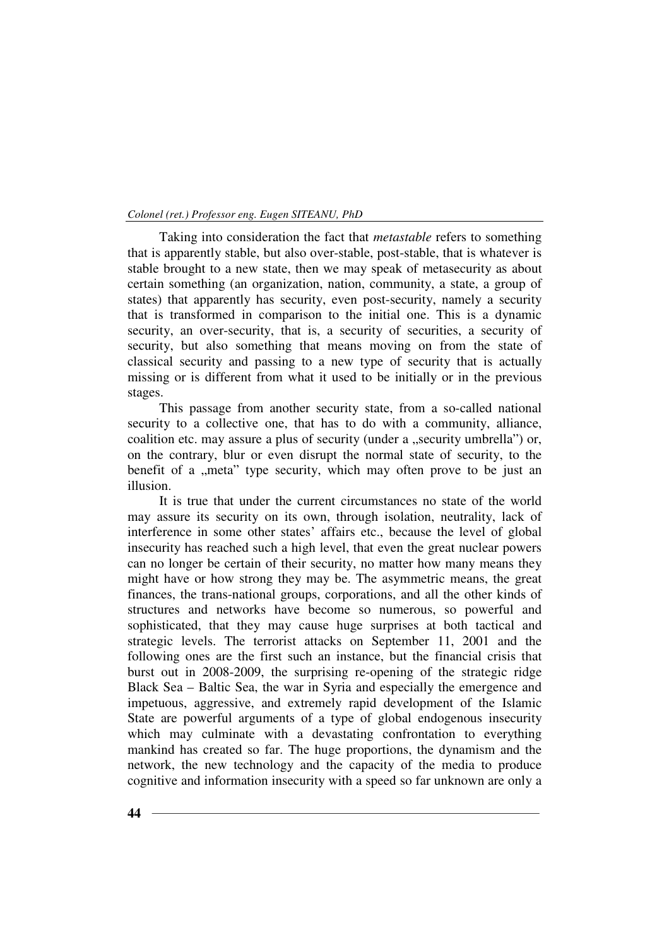Taking into consideration the fact that *metastable* refers to something that is apparently stable, but also over-stable, post-stable, that is whatever is stable brought to a new state, then we may speak of metasecurity as about certain something (an organization, nation, community, a state, a group of states) that apparently has security, even post-security, namely a security that is transformed in comparison to the initial one. This is a dynamic security, an over-security, that is, a security of securities, a security of security, but also something that means moving on from the state of classical security and passing to a new type of security that is actually missing or is different from what it used to be initially or in the previous stages.

This passage from another security state, from a so-called national security to a collective one, that has to do with a community, alliance, coalition etc. may assure a plus of security (under a "security umbrella") or, on the contrary, blur or even disrupt the normal state of security, to the benefit of a "meta" type security, which may often prove to be just an illusion.

It is true that under the current circumstances no state of the world may assure its security on its own, through isolation, neutrality, lack of interference in some other states' affairs etc., because the level of global insecurity has reached such a high level, that even the great nuclear powers can no longer be certain of their security, no matter how many means they might have or how strong they may be. The asymmetric means, the great finances, the trans-national groups, corporations, and all the other kinds of structures and networks have become so numerous, so powerful and sophisticated, that they may cause huge surprises at both tactical and strategic levels. The terrorist attacks on September 11, 2001 and the following ones are the first such an instance, but the financial crisis that burst out in 2008-2009, the surprising re-opening of the strategic ridge Black Sea – Baltic Sea, the war in Syria and especially the emergence and impetuous, aggressive, and extremely rapid development of the Islamic State are powerful arguments of a type of global endogenous insecurity which may culminate with a devastating confrontation to everything mankind has created so far. The huge proportions, the dynamism and the network, the new technology and the capacity of the media to produce cognitive and information insecurity with a speed so far unknown are only a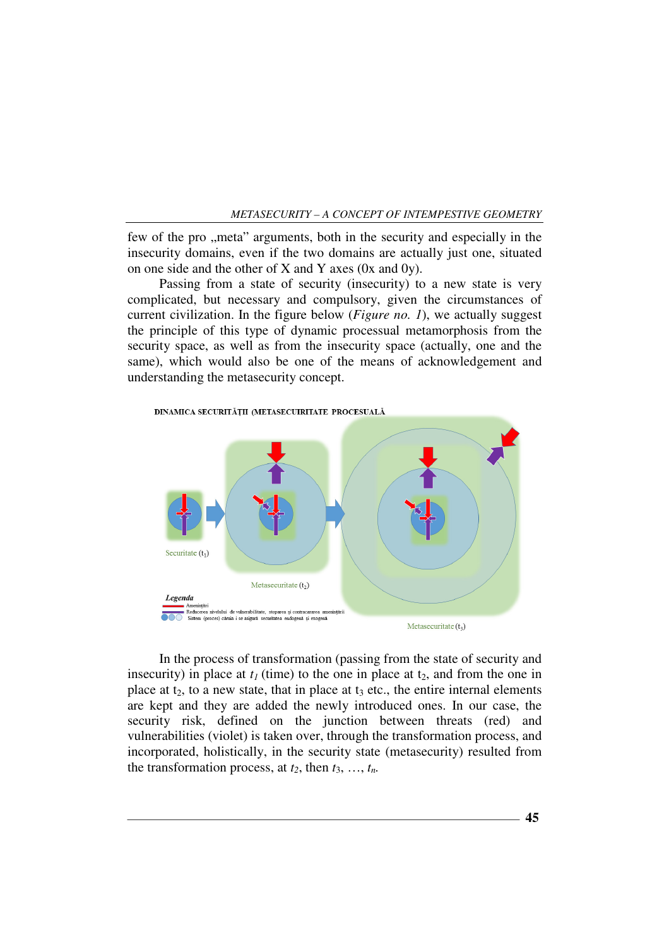few of the pro ,, meta" arguments, both in the security and especially in the insecurity domains, even if the two domains are actually just one, situated on one side and the other of X and Y axes (0x and 0y).

Passing from a state of security (insecurity) to a new state is very complicated, but necessary and compulsory, given the circumstances of current civilization. In the figure below (*Figure no. 1*), we actually suggest the principle of this type of dynamic processual metamorphosis from the security space, as well as from the insecurity space (actually, one and the same), which would also be one of the means of acknowledgement and understanding the metasecurity concept.



In the process of transformation (passing from the state of security and insecurity) in place at  $t_1$  (time) to the one in place at  $t_2$ , and from the one in place at  $t_2$ , to a new state, that in place at  $t_3$  etc., the entire internal elements are kept and they are added the newly introduced ones. In our case, the security risk, defined on the junction between threats (red) and vulnerabilities (violet) is taken over, through the transformation process, and incorporated, holistically, in the security state (metasecurity) resulted from the transformation process, at  $t_2$ , then  $t_3$ , ...,  $t_n$ .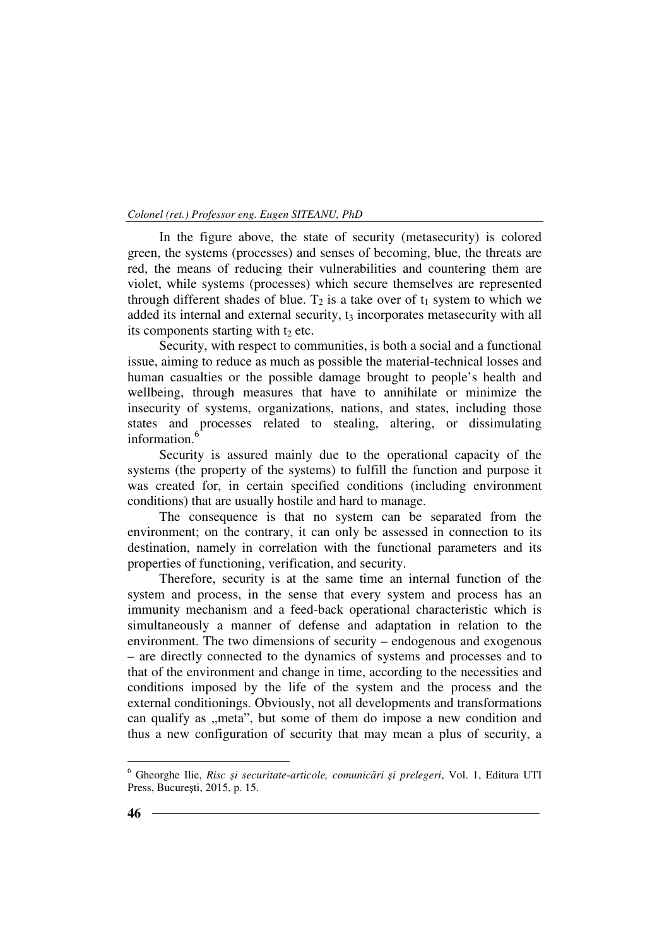In the figure above, the state of security (metasecurity) is colored green, the systems (processes) and senses of becoming, blue, the threats are red, the means of reducing their vulnerabilities and countering them are violet, while systems (processes) which secure themselves are represented through different shades of blue.  $T_2$  is a take over of  $t_1$  system to which we added its internal and external security,  $t_3$  incorporates metasecurity with all its components starting with  $t_2$  etc.

Security, with respect to communities, is both a social and a functional issue, aiming to reduce as much as possible the material-technical losses and human casualties or the possible damage brought to people's health and wellbeing, through measures that have to annihilate or minimize the insecurity of systems, organizations, nations, and states, including those states and processes related to stealing, altering, or dissimulating information.<sup>6</sup>

Security is assured mainly due to the operational capacity of the systems (the property of the systems) to fulfill the function and purpose it was created for, in certain specified conditions (including environment conditions) that are usually hostile and hard to manage.

The consequence is that no system can be separated from the environment; on the contrary, it can only be assessed in connection to its destination, namely in correlation with the functional parameters and its properties of functioning, verification, and security.

Therefore, security is at the same time an internal function of the system and process, in the sense that every system and process has an immunity mechanism and a feed-back operational characteristic which is simultaneously a manner of defense and adaptation in relation to the environment. The two dimensions of security – endogenous and exogenous – are directly connected to the dynamics of systems and processes and to that of the environment and change in time, according to the necessities and conditions imposed by the life of the system and the process and the external conditionings. Obviously, not all developments and transformations can qualify as ,,meta", but some of them do impose a new condition and thus a new configuration of security that may mean a plus of security, a

<sup>6</sup> Gheorghe Ilie, *Risc şi securitate-articole, comunicări şi prelegeri*, Vol. 1, Editura UTI Press, Bucureşti, 2015, p. 15.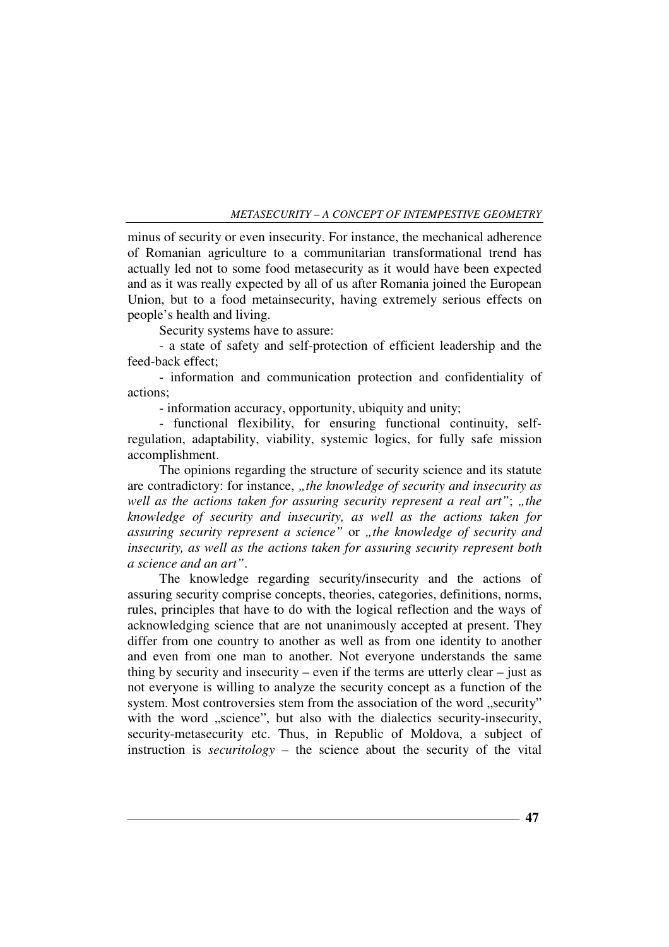minus of security or even insecurity. For instance, the mechanical adherence of Romanian agriculture to a communitarian transformational trend has actually led not to some food metasecurity as it would have been expected and as it was really expected by all of us after Romania joined the European Union, but to a food metainsecurity, having extremely serious effects on people's health and living.

Security systems have to assure:

- a state of safety and self-protection of efficient leadership and the feed-back effect;

- information and communication protection and confidentiality of actions;

- information accuracy, opportunity, ubiquity and unity;

- functional flexibility, for ensuring functional continuity, selfregulation, adaptability, viability, systemic logics, for fully safe mission accomplishment.

The opinions regarding the structure of security science and its statute are contradictory: for instance, "the knowledge of security and insecurity as *well as the actions taken for assuring security represent a real art"; "the knowledge of security and insecurity, as well as the actions taken for assuring security represent a science*" or *"the knowledge of security and insecurity, as well as the actions taken for assuring security represent both a science and an art"*.

The knowledge regarding security/insecurity and the actions of assuring security comprise concepts, theories, categories, definitions, norms, rules, principles that have to do with the logical reflection and the ways of acknowledging science that are not unanimously accepted at present. They differ from one country to another as well as from one identity to another and even from one man to another. Not everyone understands the same thing by security and insecurity – even if the terms are utterly clear – just as not everyone is willing to analyze the security concept as a function of the system. Most controversies stem from the association of the word "security" with the word "science", but also with the dialectics security-insecurity, security-metasecurity etc. Thus, in Republic of Moldova, a subject of instruction is *securitology* – the science about the security of the vital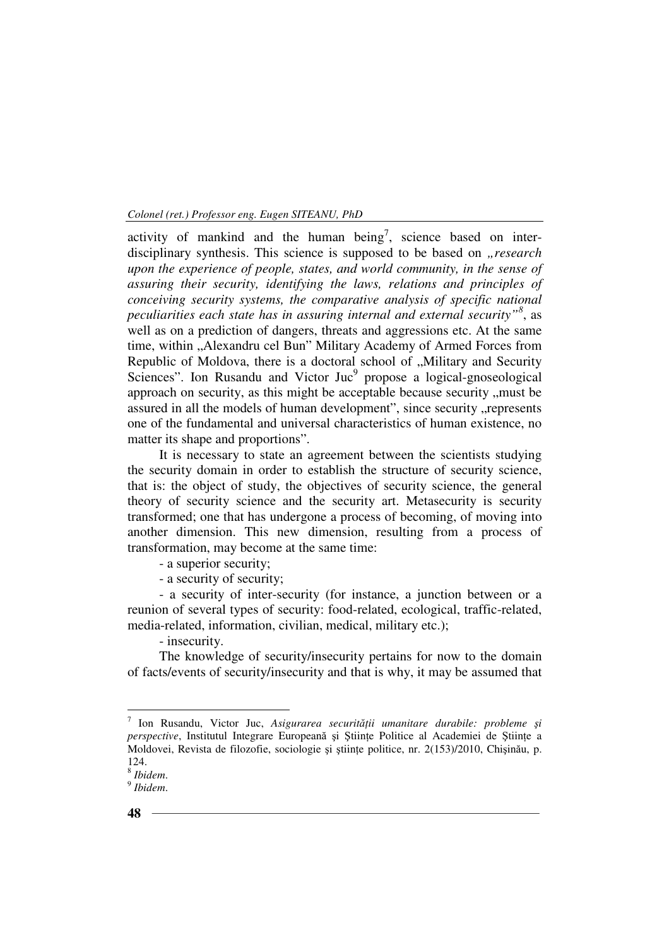activity of mankind and the human being<sup>7</sup>, science based on interdisciplinary synthesis. This science is supposed to be based on *research upon the experience of people, states, and world community, in the sense of assuring their security, identifying the laws, relations and principles of conceiving security systems, the comparative analysis of specific national peculiarities each state has in assuring internal and external security"<sup>8</sup>* , as well as on a prediction of dangers, threats and aggressions etc. At the same time, within "Alexandru cel Bun" Military Academy of Armed Forces from Republic of Moldova, there is a doctoral school of "Military and Security Sciences". Ion Rusandu and Victor Juc<sup>9</sup> propose a logical-gnoseological approach on security, as this might be acceptable because security , must be assured in all the models of human development", since security "represents one of the fundamental and universal characteristics of human existence, no matter its shape and proportions".

It is necessary to state an agreement between the scientists studying the security domain in order to establish the structure of security science, that is: the object of study, the objectives of security science, the general theory of security science and the security art. Metasecurity is security transformed; one that has undergone a process of becoming, of moving into another dimension. This new dimension, resulting from a process of transformation, may become at the same time:

- a superior security;
- a security of security;

- a security of inter-security (for instance, a junction between or a reunion of several types of security: food-related, ecological, traffic-related, media-related, information, civilian, medical, military etc.);

- insecurity.

The knowledge of security/insecurity pertains for now to the domain of facts/events of security/insecurity and that is why, it may be assumed that

<sup>&</sup>lt;sup>7</sup> Ion Rusandu, Victor Juc, Asigurarea securității umanitare durabile: probleme și *perspective*, Institutul Integrare Europeană și Stiinte Politice al Academiei de Stiinte a Moldovei, Revista de filozofie, sociologie și științe politice, nr. 2(153)/2010, Chișinău, p. 124.

<sup>8</sup> *Ibidem*.

<sup>9</sup> *Ibidem*.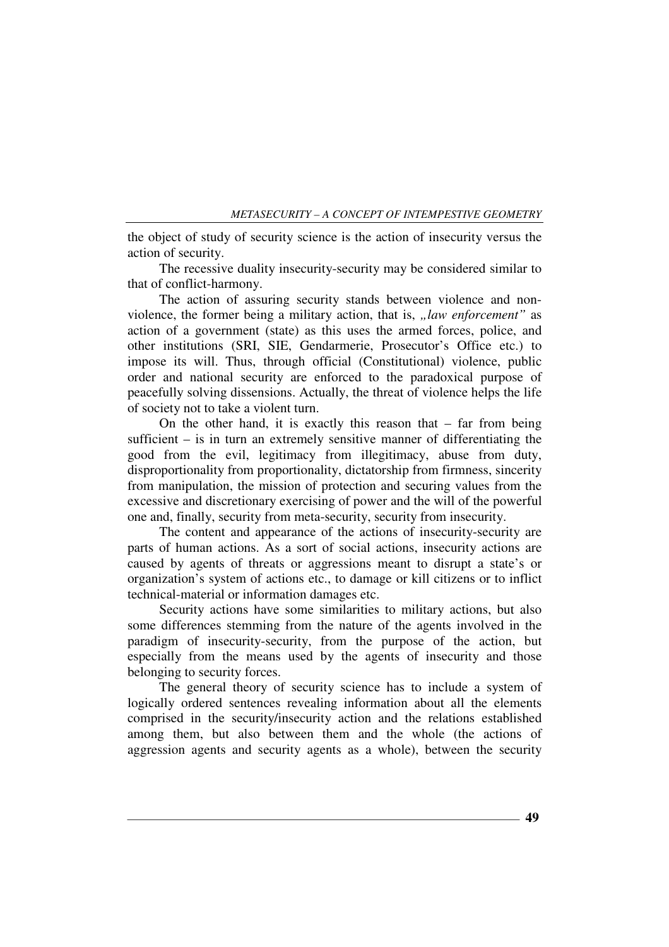the object of study of security science is the action of insecurity versus the action of security.

The recessive duality insecurity-security may be considered similar to that of conflict-harmony.

The action of assuring security stands between violence and nonviolence, the former being a military action, that is, *"law enforcement*" as action of a government (state) as this uses the armed forces, police, and other institutions (SRI, SIE, Gendarmerie, Prosecutor's Office etc.) to impose its will. Thus, through official (Constitutional) violence, public order and national security are enforced to the paradoxical purpose of peacefully solving dissensions. Actually, the threat of violence helps the life of society not to take a violent turn.

On the other hand, it is exactly this reason that  $-$  far from being sufficient – is in turn an extremely sensitive manner of differentiating the good from the evil, legitimacy from illegitimacy, abuse from duty, disproportionality from proportionality, dictatorship from firmness, sincerity from manipulation, the mission of protection and securing values from the excessive and discretionary exercising of power and the will of the powerful one and, finally, security from meta-security, security from insecurity.

The content and appearance of the actions of insecurity-security are parts of human actions. As a sort of social actions, insecurity actions are caused by agents of threats or aggressions meant to disrupt a state's or organization's system of actions etc., to damage or kill citizens or to inflict technical-material or information damages etc.

Security actions have some similarities to military actions, but also some differences stemming from the nature of the agents involved in the paradigm of insecurity-security, from the purpose of the action, but especially from the means used by the agents of insecurity and those belonging to security forces.

The general theory of security science has to include a system of logically ordered sentences revealing information about all the elements comprised in the security/insecurity action and the relations established among them, but also between them and the whole (the actions of aggression agents and security agents as a whole), between the security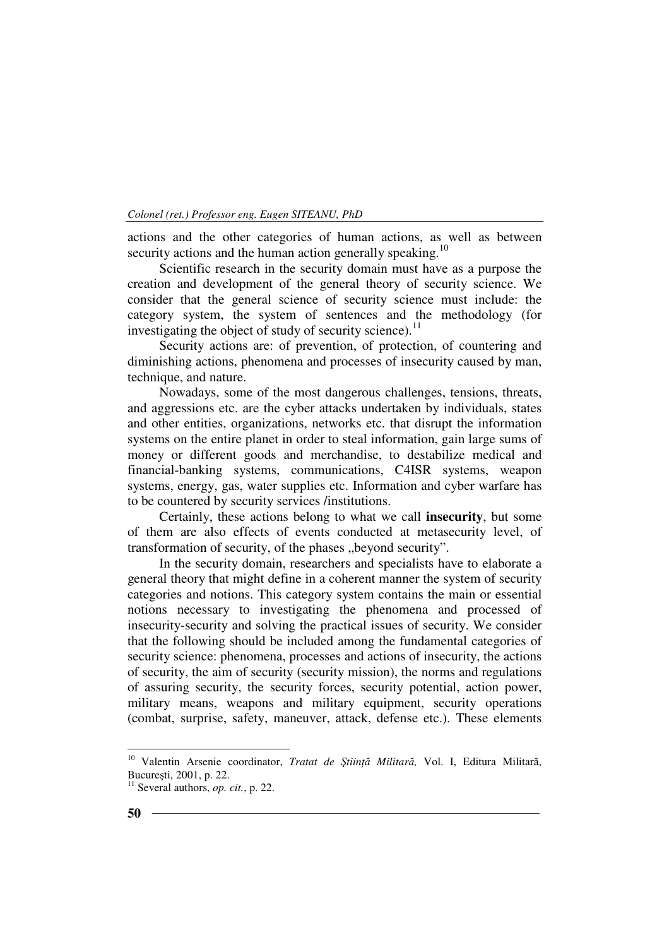actions and the other categories of human actions, as well as between security actions and the human action generally speaking.<sup>10</sup>

Scientific research in the security domain must have as a purpose the creation and development of the general theory of security science. We consider that the general science of security science must include: the category system, the system of sentences and the methodology (for investigating the object of study of security science).<sup>11</sup>

Security actions are: of prevention, of protection, of countering and diminishing actions, phenomena and processes of insecurity caused by man, technique, and nature.

Nowadays, some of the most dangerous challenges, tensions, threats, and aggressions etc. are the cyber attacks undertaken by individuals, states and other entities, organizations, networks etc. that disrupt the information systems on the entire planet in order to steal information, gain large sums of money or different goods and merchandise, to destabilize medical and financial-banking systems, communications, C4ISR systems, weapon systems, energy, gas, water supplies etc. Information and cyber warfare has to be countered by security services /institutions.

Certainly, these actions belong to what we call **insecurity**, but some of them are also effects of events conducted at metasecurity level, of transformation of security, of the phases "beyond security".

In the security domain, researchers and specialists have to elaborate a general theory that might define in a coherent manner the system of security categories and notions. This category system contains the main or essential notions necessary to investigating the phenomena and processed of insecurity-security and solving the practical issues of security. We consider that the following should be included among the fundamental categories of security science: phenomena, processes and actions of insecurity, the actions of security, the aim of security (security mission), the norms and regulations of assuring security, the security forces, security potential, action power, military means, weapons and military equipment, security operations (combat, surprise, safety, maneuver, attack, defense etc.). These elements

<sup>10</sup> Valentin Arsenie coordinator, *Tratat de ŞtiinŃă Militară,* Vol. I, Editura Militară, Bucureşti, 2001, p. 22.

<sup>11</sup> Several authors, *op. cit.*, p. 22.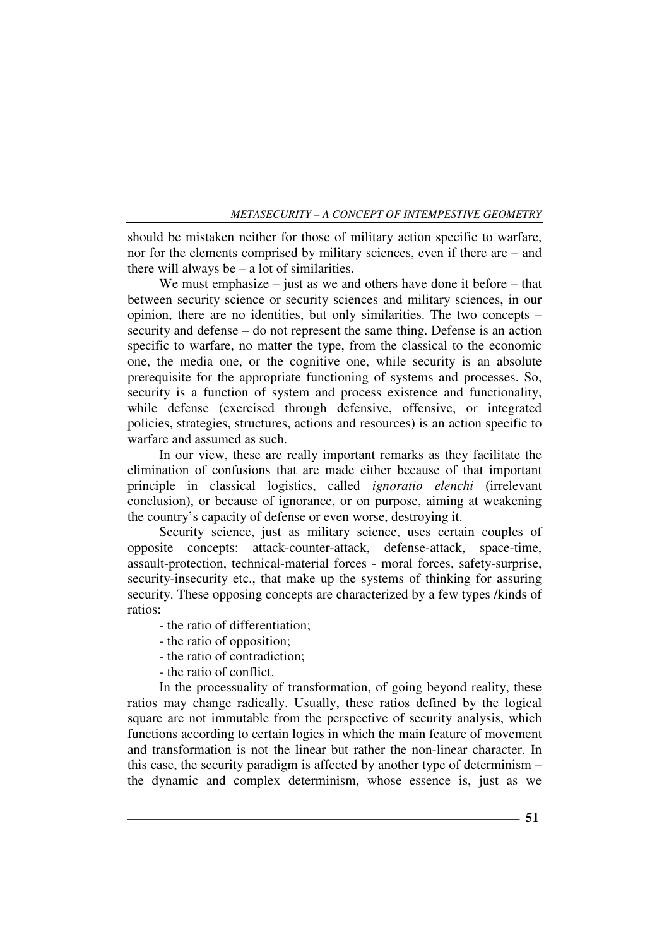should be mistaken neither for those of military action specific to warfare, nor for the elements comprised by military sciences, even if there are – and there will always be – a lot of similarities.

We must emphasize – just as we and others have done it before – that between security science or security sciences and military sciences, in our opinion, there are no identities, but only similarities. The two concepts – security and defense – do not represent the same thing. Defense is an action specific to warfare, no matter the type, from the classical to the economic one, the media one, or the cognitive one, while security is an absolute prerequisite for the appropriate functioning of systems and processes. So, security is a function of system and process existence and functionality, while defense (exercised through defensive, offensive, or integrated policies, strategies, structures, actions and resources) is an action specific to warfare and assumed as such.

In our view, these are really important remarks as they facilitate the elimination of confusions that are made either because of that important principle in classical logistics, called *ignoratio elenchi* (irrelevant conclusion), or because of ignorance, or on purpose, aiming at weakening the country's capacity of defense or even worse, destroying it.

Security science, just as military science, uses certain couples of opposite concepts: attack-counter-attack, defense-attack, space-time, assault-protection, technical-material forces - moral forces, safety-surprise, security-insecurity etc., that make up the systems of thinking for assuring security. These opposing concepts are characterized by a few types /kinds of ratios:

- the ratio of differentiation;
- the ratio of opposition;
- the ratio of contradiction;
- the ratio of conflict.

In the processuality of transformation, of going beyond reality, these ratios may change radically. Usually, these ratios defined by the logical square are not immutable from the perspective of security analysis, which functions according to certain logics in which the main feature of movement and transformation is not the linear but rather the non-linear character. In this case, the security paradigm is affected by another type of determinism – the dynamic and complex determinism, whose essence is, just as we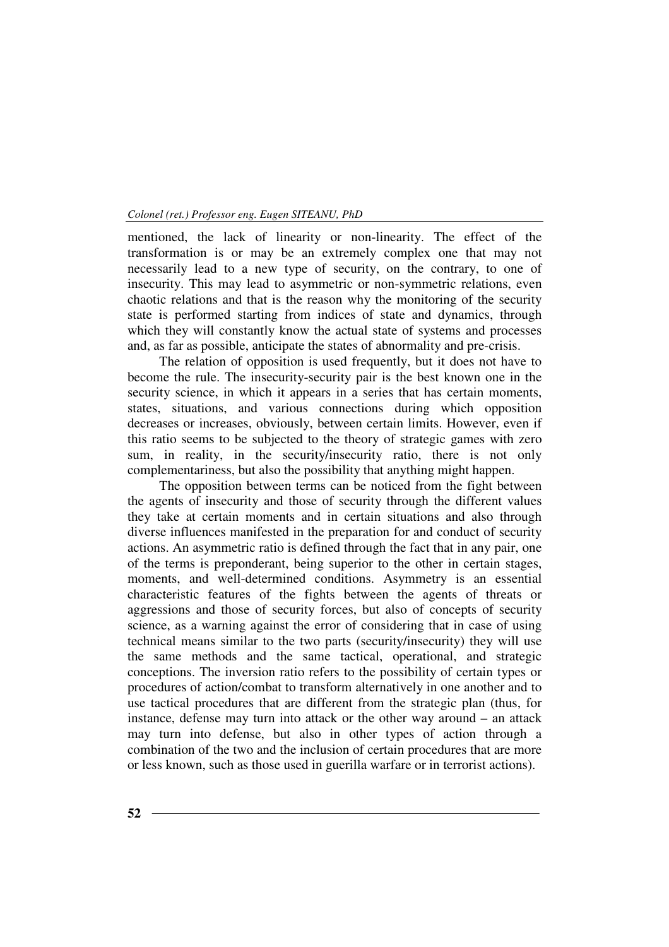mentioned, the lack of linearity or non-linearity. The effect of the transformation is or may be an extremely complex one that may not necessarily lead to a new type of security, on the contrary, to one of insecurity. This may lead to asymmetric or non-symmetric relations, even chaotic relations and that is the reason why the monitoring of the security state is performed starting from indices of state and dynamics, through which they will constantly know the actual state of systems and processes and, as far as possible, anticipate the states of abnormality and pre-crisis.

The relation of opposition is used frequently, but it does not have to become the rule. The insecurity-security pair is the best known one in the security science, in which it appears in a series that has certain moments, states, situations, and various connections during which opposition decreases or increases, obviously, between certain limits. However, even if this ratio seems to be subjected to the theory of strategic games with zero sum, in reality, in the security/insecurity ratio, there is not only complementariness, but also the possibility that anything might happen.

The opposition between terms can be noticed from the fight between the agents of insecurity and those of security through the different values they take at certain moments and in certain situations and also through diverse influences manifested in the preparation for and conduct of security actions. An asymmetric ratio is defined through the fact that in any pair, one of the terms is preponderant, being superior to the other in certain stages, moments, and well-determined conditions. Asymmetry is an essential characteristic features of the fights between the agents of threats or aggressions and those of security forces, but also of concepts of security science, as a warning against the error of considering that in case of using technical means similar to the two parts (security/insecurity) they will use the same methods and the same tactical, operational, and strategic conceptions. The inversion ratio refers to the possibility of certain types or procedures of action/combat to transform alternatively in one another and to use tactical procedures that are different from the strategic plan (thus, for instance, defense may turn into attack or the other way around – an attack may turn into defense, but also in other types of action through a combination of the two and the inclusion of certain procedures that are more or less known, such as those used in guerilla warfare or in terrorist actions).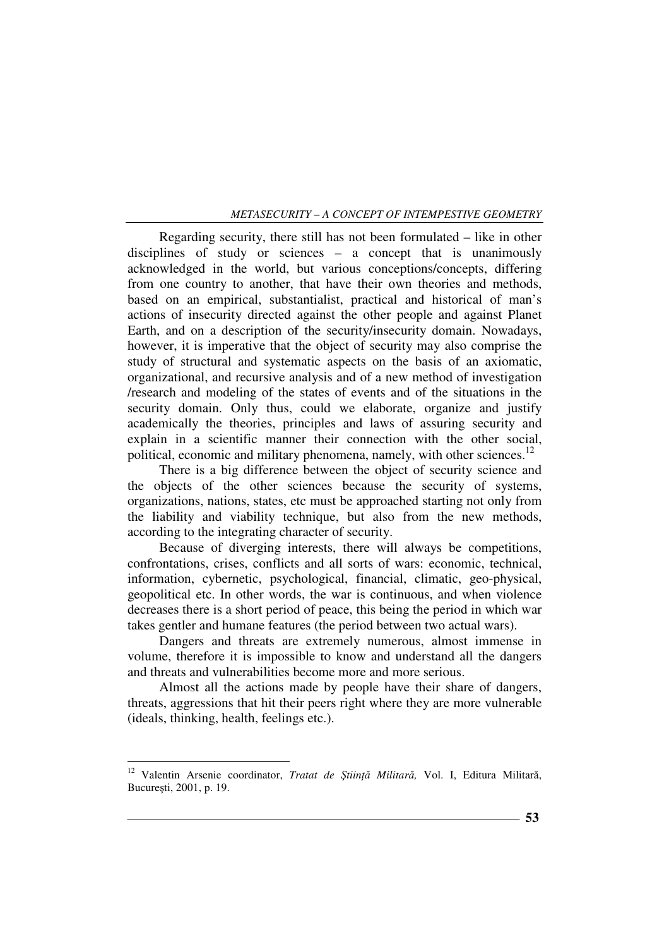Regarding security, there still has not been formulated – like in other disciplines of study or sciences – a concept that is unanimously acknowledged in the world, but various conceptions/concepts, differing from one country to another, that have their own theories and methods, based on an empirical, substantialist, practical and historical of man's actions of insecurity directed against the other people and against Planet Earth, and on a description of the security/insecurity domain. Nowadays, however, it is imperative that the object of security may also comprise the study of structural and systematic aspects on the basis of an axiomatic, organizational, and recursive analysis and of a new method of investigation /research and modeling of the states of events and of the situations in the security domain. Only thus, could we elaborate, organize and justify academically the theories, principles and laws of assuring security and explain in a scientific manner their connection with the other social, political, economic and military phenomena, namely, with other sciences.<sup>12</sup>

There is a big difference between the object of security science and the objects of the other sciences because the security of systems, organizations, nations, states, etc must be approached starting not only from the liability and viability technique, but also from the new methods, according to the integrating character of security.

Because of diverging interests, there will always be competitions, confrontations, crises, conflicts and all sorts of wars: economic, technical, information, cybernetic, psychological, financial, climatic, geo-physical, geopolitical etc. In other words, the war is continuous, and when violence decreases there is a short period of peace, this being the period in which war takes gentler and humane features (the period between two actual wars).

Dangers and threats are extremely numerous, almost immense in volume, therefore it is impossible to know and understand all the dangers and threats and vulnerabilities become more and more serious.

Almost all the actions made by people have their share of dangers, threats, aggressions that hit their peers right where they are more vulnerable (ideals, thinking, health, feelings etc.).

<sup>12</sup> Valentin Arsenie coordinator, *Tratat de ŞtiinŃă Militară,* Vol. I, Editura Militară, Bucureşti, 2001, p. 19.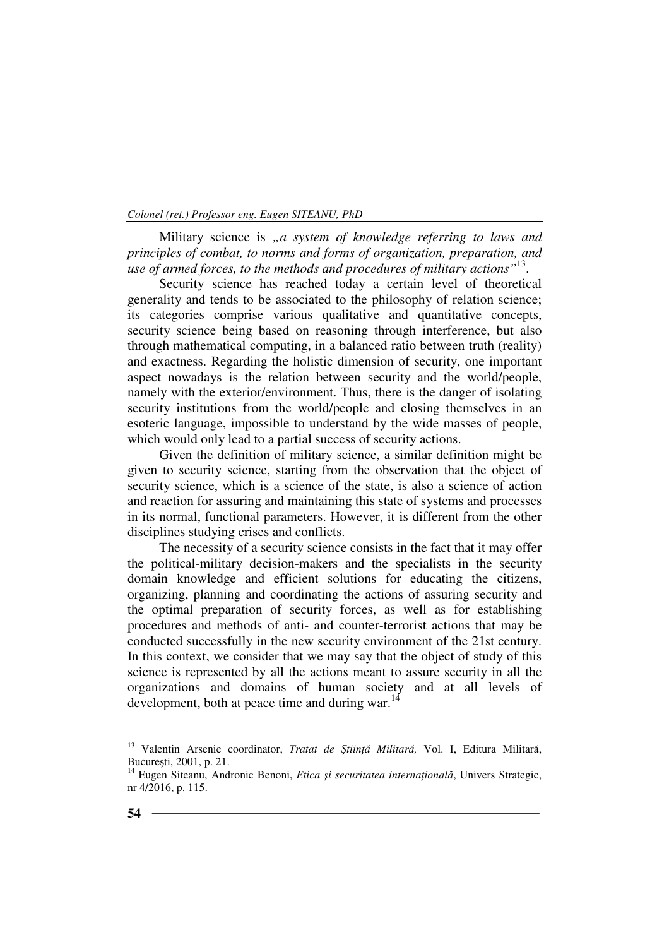Military science is "a system of knowledge referring to laws and *principles of combat, to norms and forms of organization, preparation, and use of armed forces, to the methods and procedures of military actions"*<sup>13</sup> .

Security science has reached today a certain level of theoretical generality and tends to be associated to the philosophy of relation science; its categories comprise various qualitative and quantitative concepts, security science being based on reasoning through interference, but also through mathematical computing, in a balanced ratio between truth (reality) and exactness. Regarding the holistic dimension of security, one important aspect nowadays is the relation between security and the world/people, namely with the exterior/environment. Thus, there is the danger of isolating security institutions from the world/people and closing themselves in an esoteric language, impossible to understand by the wide masses of people, which would only lead to a partial success of security actions.

Given the definition of military science, a similar definition might be given to security science, starting from the observation that the object of security science, which is a science of the state, is also a science of action and reaction for assuring and maintaining this state of systems and processes in its normal, functional parameters. However, it is different from the other disciplines studying crises and conflicts.

The necessity of a security science consists in the fact that it may offer the political-military decision-makers and the specialists in the security domain knowledge and efficient solutions for educating the citizens, organizing, planning and coordinating the actions of assuring security and the optimal preparation of security forces, as well as for establishing procedures and methods of anti- and counter-terrorist actions that may be conducted successfully in the new security environment of the 21st century. In this context, we consider that we may say that the object of study of this science is represented by all the actions meant to assure security in all the organizations and domains of human society and at all levels of development, both at peace time and during war. $14$ 

<sup>&</sup>lt;sup>13</sup> Valentin Arsenie coordinator, *Tratat de Știință Militară*, Vol. I, Editura Militară, Bucureşti, 2001, p. 21.

<sup>&</sup>lt;sup>14</sup> Eugen Siteanu, Andronic Benoni, *Etica și securitatea internațională*, Univers Strategic, nr 4/2016, p. 115.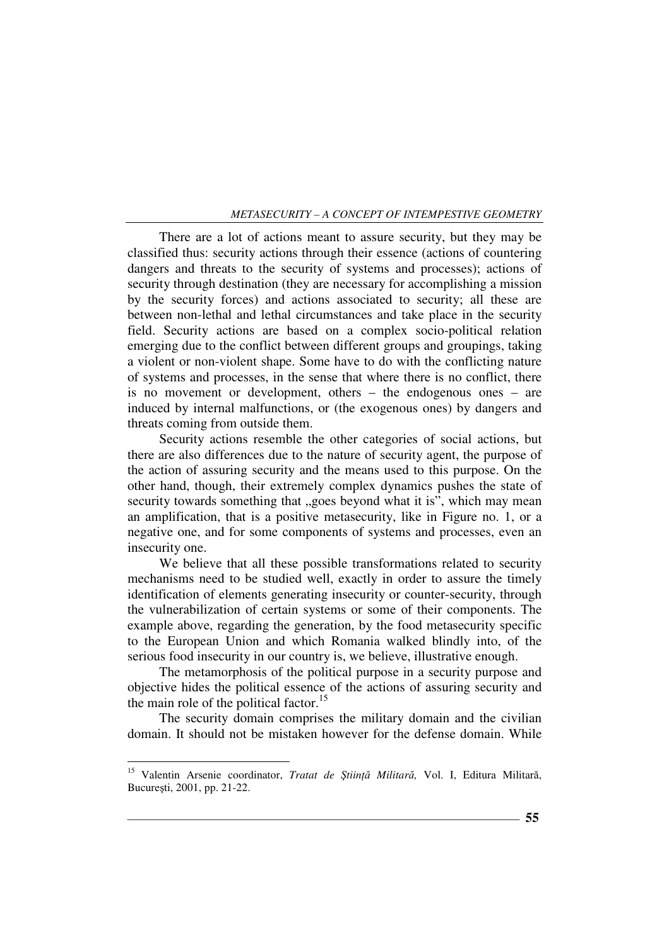There are a lot of actions meant to assure security, but they may be classified thus: security actions through their essence (actions of countering dangers and threats to the security of systems and processes); actions of security through destination (they are necessary for accomplishing a mission by the security forces) and actions associated to security; all these are between non-lethal and lethal circumstances and take place in the security field. Security actions are based on a complex socio-political relation emerging due to the conflict between different groups and groupings, taking a violent or non-violent shape. Some have to do with the conflicting nature of systems and processes, in the sense that where there is no conflict, there is no movement or development, others – the endogenous ones – are induced by internal malfunctions, or (the exogenous ones) by dangers and threats coming from outside them.

Security actions resemble the other categories of social actions, but there are also differences due to the nature of security agent, the purpose of the action of assuring security and the means used to this purpose. On the other hand, though, their extremely complex dynamics pushes the state of security towards something that "goes beyond what it is", which may mean an amplification, that is a positive metasecurity, like in Figure no. 1, or a negative one, and for some components of systems and processes, even an insecurity one.

We believe that all these possible transformations related to security mechanisms need to be studied well, exactly in order to assure the timely identification of elements generating insecurity or counter-security, through the vulnerabilization of certain systems or some of their components. The example above, regarding the generation, by the food metasecurity specific to the European Union and which Romania walked blindly into, of the serious food insecurity in our country is, we believe, illustrative enough.

The metamorphosis of the political purpose in a security purpose and objective hides the political essence of the actions of assuring security and the main role of the political factor.<sup>15</sup>

The security domain comprises the military domain and the civilian domain. It should not be mistaken however for the defense domain. While

<sup>15</sup> Valentin Arsenie coordinator, *Tratat de ŞtiinŃă Militară,* Vol. I, Editura Militară, Bucureşti, 2001, pp. 21-22.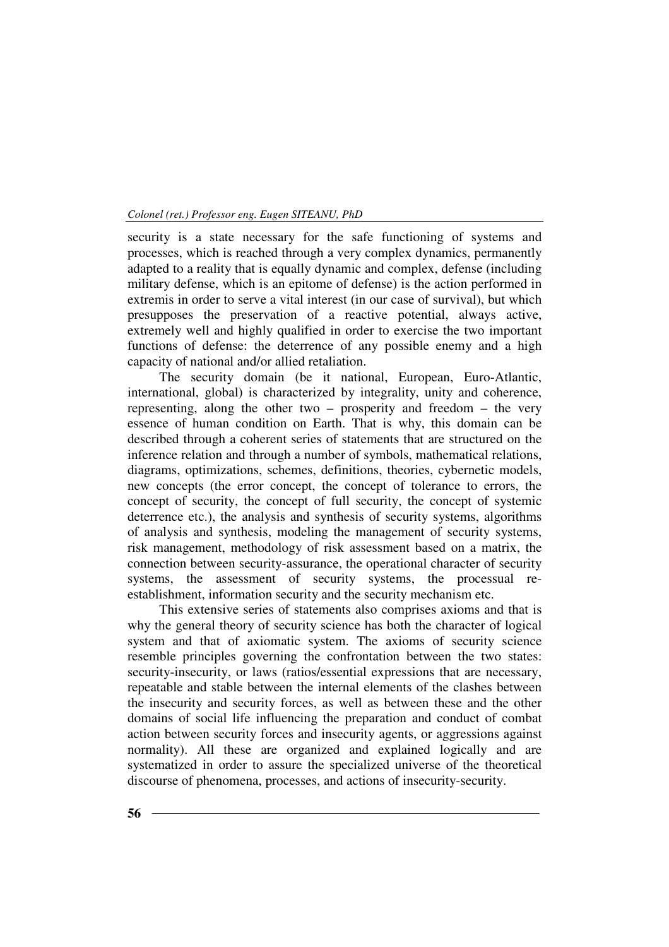security is a state necessary for the safe functioning of systems and processes, which is reached through a very complex dynamics, permanently adapted to a reality that is equally dynamic and complex, defense (including military defense, which is an epitome of defense) is the action performed in extremis in order to serve a vital interest (in our case of survival), but which presupposes the preservation of a reactive potential, always active, extremely well and highly qualified in order to exercise the two important functions of defense: the deterrence of any possible enemy and a high capacity of national and/or allied retaliation.

The security domain (be it national, European, Euro-Atlantic, international, global) is characterized by integrality, unity and coherence, representing, along the other two – prosperity and freedom – the very essence of human condition on Earth. That is why, this domain can be described through a coherent series of statements that are structured on the inference relation and through a number of symbols, mathematical relations, diagrams, optimizations, schemes, definitions, theories, cybernetic models, new concepts (the error concept, the concept of tolerance to errors, the concept of security, the concept of full security, the concept of systemic deterrence etc.), the analysis and synthesis of security systems, algorithms of analysis and synthesis, modeling the management of security systems, risk management, methodology of risk assessment based on a matrix, the connection between security-assurance, the operational character of security systems, the assessment of security systems, the processual reestablishment, information security and the security mechanism etc.

This extensive series of statements also comprises axioms and that is why the general theory of security science has both the character of logical system and that of axiomatic system. The axioms of security science resemble principles governing the confrontation between the two states: security-insecurity, or laws (ratios/essential expressions that are necessary, repeatable and stable between the internal elements of the clashes between the insecurity and security forces, as well as between these and the other domains of social life influencing the preparation and conduct of combat action between security forces and insecurity agents, or aggressions against normality). All these are organized and explained logically and are systematized in order to assure the specialized universe of the theoretical discourse of phenomena, processes, and actions of insecurity-security.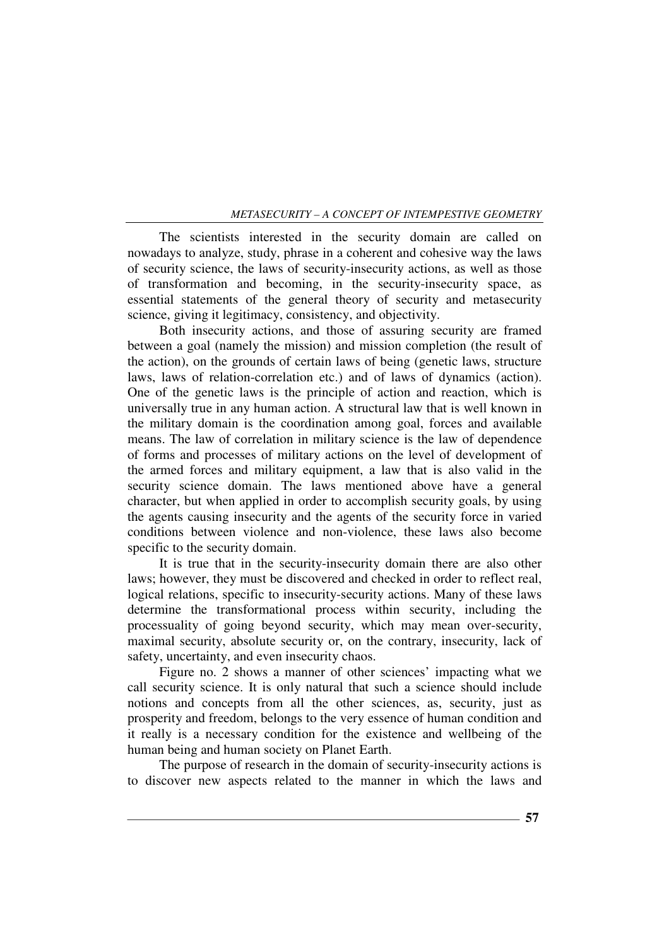The scientists interested in the security domain are called on nowadays to analyze, study, phrase in a coherent and cohesive way the laws of security science, the laws of security-insecurity actions, as well as those of transformation and becoming, in the security-insecurity space, as essential statements of the general theory of security and metasecurity science, giving it legitimacy, consistency, and objectivity.

Both insecurity actions, and those of assuring security are framed between a goal (namely the mission) and mission completion (the result of the action), on the grounds of certain laws of being (genetic laws, structure laws, laws of relation-correlation etc.) and of laws of dynamics (action). One of the genetic laws is the principle of action and reaction, which is universally true in any human action. A structural law that is well known in the military domain is the coordination among goal, forces and available means. The law of correlation in military science is the law of dependence of forms and processes of military actions on the level of development of the armed forces and military equipment, a law that is also valid in the security science domain. The laws mentioned above have a general character, but when applied in order to accomplish security goals, by using the agents causing insecurity and the agents of the security force in varied conditions between violence and non-violence, these laws also become specific to the security domain.

It is true that in the security-insecurity domain there are also other laws; however, they must be discovered and checked in order to reflect real, logical relations, specific to insecurity-security actions. Many of these laws determine the transformational process within security, including the processuality of going beyond security, which may mean over-security, maximal security, absolute security or, on the contrary, insecurity, lack of safety, uncertainty, and even insecurity chaos.

Figure no. 2 shows a manner of other sciences' impacting what we call security science. It is only natural that such a science should include notions and concepts from all the other sciences, as, security, just as prosperity and freedom, belongs to the very essence of human condition and it really is a necessary condition for the existence and wellbeing of the human being and human society on Planet Earth.

The purpose of research in the domain of security-insecurity actions is to discover new aspects related to the manner in which the laws and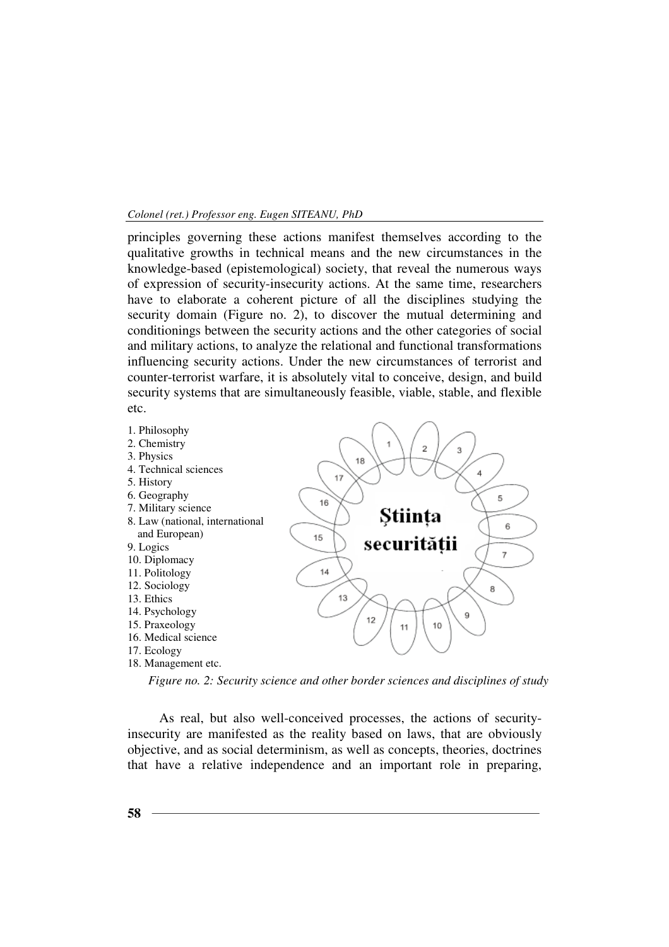principles governing these actions manifest themselves according to the qualitative growths in technical means and the new circumstances in the knowledge-based (epistemological) society, that reveal the numerous ways of expression of security-insecurity actions. At the same time, researchers have to elaborate a coherent picture of all the disciplines studying the security domain (Figure no. 2), to discover the mutual determining and conditionings between the security actions and the other categories of social and military actions, to analyze the relational and functional transformations influencing security actions. Under the new circumstances of terrorist and counter-terrorist warfare, it is absolutely vital to conceive, design, and build security systems that are simultaneously feasible, viable, stable, and flexible etc.



*Figure no. 2: Security science and other border sciences and disciplines of study*

As real, but also well-conceived processes, the actions of securityinsecurity are manifested as the reality based on laws, that are obviously objective, and as social determinism, as well as concepts, theories, doctrines that have a relative independence and an important role in preparing,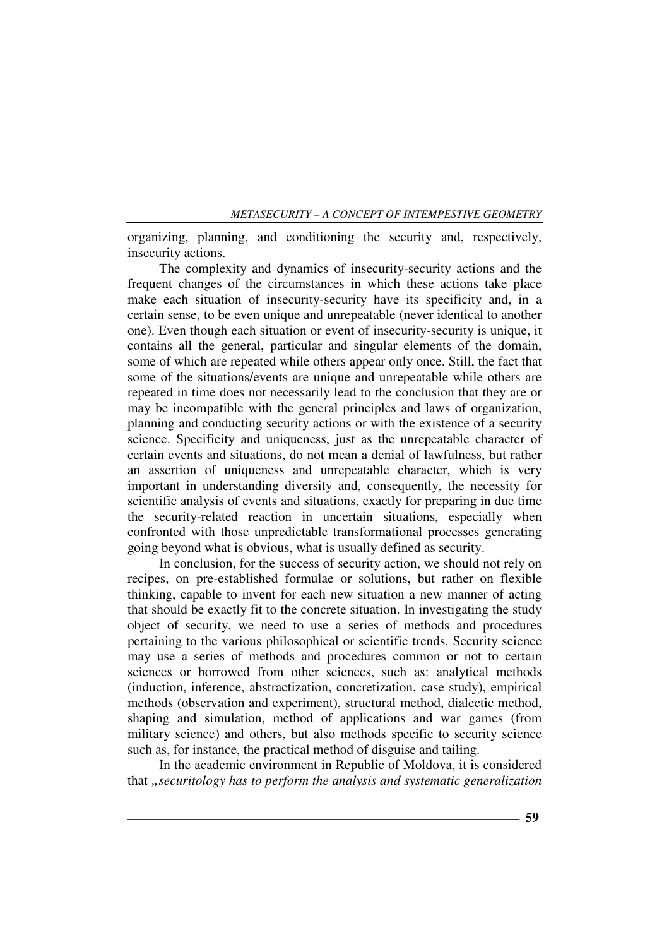organizing, planning, and conditioning the security and, respectively, insecurity actions.

The complexity and dynamics of insecurity-security actions and the frequent changes of the circumstances in which these actions take place make each situation of insecurity-security have its specificity and, in a certain sense, to be even unique and unrepeatable (never identical to another one). Even though each situation or event of insecurity-security is unique, it contains all the general, particular and singular elements of the domain, some of which are repeated while others appear only once. Still, the fact that some of the situations/events are unique and unrepeatable while others are repeated in time does not necessarily lead to the conclusion that they are or may be incompatible with the general principles and laws of organization, planning and conducting security actions or with the existence of a security science. Specificity and uniqueness, just as the unrepeatable character of certain events and situations, do not mean a denial of lawfulness, but rather an assertion of uniqueness and unrepeatable character, which is very important in understanding diversity and, consequently, the necessity for scientific analysis of events and situations, exactly for preparing in due time the security-related reaction in uncertain situations, especially when confronted with those unpredictable transformational processes generating going beyond what is obvious, what is usually defined as security.

In conclusion, for the success of security action, we should not rely on recipes, on pre-established formulae or solutions, but rather on flexible thinking, capable to invent for each new situation a new manner of acting that should be exactly fit to the concrete situation. In investigating the study object of security, we need to use a series of methods and procedures pertaining to the various philosophical or scientific trends. Security science may use a series of methods and procedures common or not to certain sciences or borrowed from other sciences, such as: analytical methods (induction, inference, abstractization, concretization, case study), empirical methods (observation and experiment), structural method, dialectic method, shaping and simulation, method of applications and war games (from military science) and others, but also methods specific to security science such as, for instance, the practical method of disguise and tailing.

In the academic environment in Republic of Moldova, it is considered that *"securitology has to perform the analysis and systematic generalization*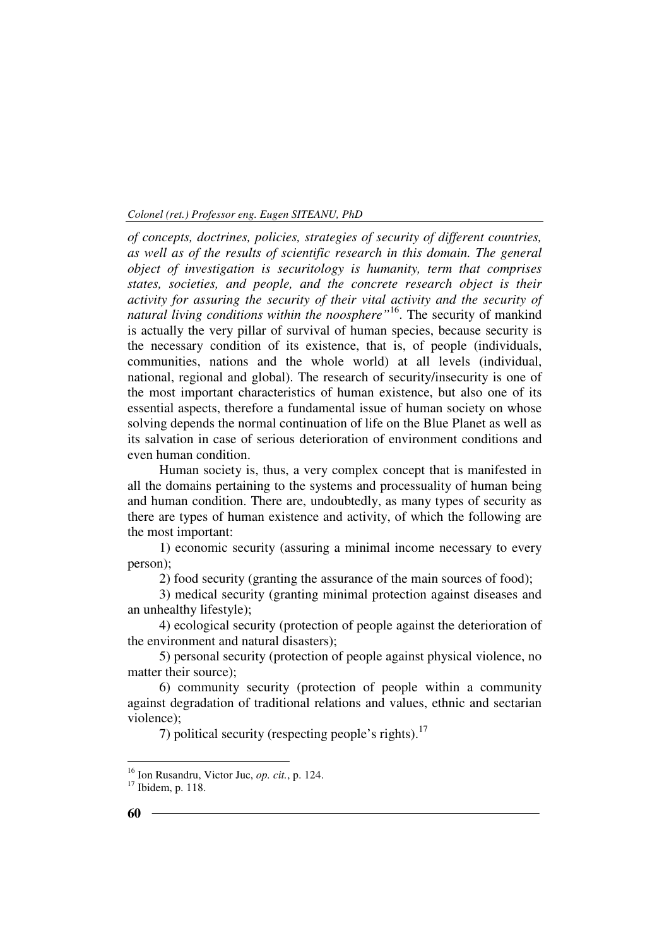*of concepts, doctrines, policies, strategies of security of different countries, as well as of the results of scientific research in this domain. The general object of investigation is securitology is humanity, term that comprises states, societies, and people, and the concrete research object is their activity for assuring the security of their vital activity and the security of natural living conditions within the noosphere"*<sup>16</sup>. The security of mankind is actually the very pillar of survival of human species, because security is the necessary condition of its existence, that is, of people (individuals, communities, nations and the whole world) at all levels (individual, national, regional and global). The research of security/insecurity is one of the most important characteristics of human existence, but also one of its essential aspects, therefore a fundamental issue of human society on whose solving depends the normal continuation of life on the Blue Planet as well as its salvation in case of serious deterioration of environment conditions and even human condition.

Human society is, thus, a very complex concept that is manifested in all the domains pertaining to the systems and processuality of human being and human condition. There are, undoubtedly, as many types of security as there are types of human existence and activity, of which the following are the most important:

1) economic security (assuring a minimal income necessary to every person);

2) food security (granting the assurance of the main sources of food);

3) medical security (granting minimal protection against diseases and an unhealthy lifestyle);

4) ecological security (protection of people against the deterioration of the environment and natural disasters);

5) personal security (protection of people against physical violence, no matter their source);

6) community security (protection of people within a community against degradation of traditional relations and values, ethnic and sectarian violence);

7) political security (respecting people's rights). $17$ 

<sup>16</sup> Ion Rusandru, Victor Juc, *op. cit.*, p. 124.

 $^{101}$  Ibidem, p. 118.